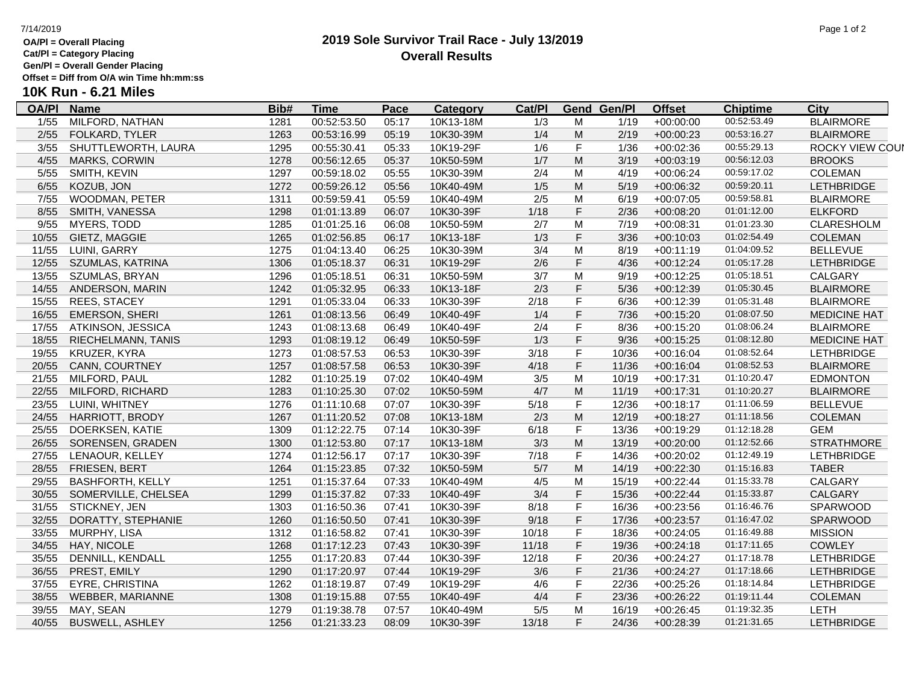### **OA/Pl = Overall Placing**

**Cat/Pl = Category Placing**

**Gen/Pl = Overall Gender Placing Offset = Diff from O/A win Time hh:mm:ss**

**10K Run - 6.21 Miles**

### **OA/Pl Name Bib# Time Category Cat/Pl Gen/Pl Pace Category Cat/Pl Gend Gen/Pl Offset Chiptime City**<br>05:17 10K13-18M 1/3 M 1/19 +00:00:00 00:52:53.49 BLAIRMORE 1/55 MILFORD, NATHAN 1281 00:52:53.50 05:17 10K13-18M 1/3 M 1/19 +00:00:00 00:52:53.49 BLAIRMORE 2/55 FOLKARD, TYLER 1263 00:53:16.99 05:19 10K30-39M 1/4 M 2/19 +00:00:23 00:53:16.27 BLAIRMORE 3/55 SHUTTLEWORTH, LAURA 1295 00:55:30.41 05:33 10K19-29F 1/6 F 1/36 +00:02:36 00:55:29.13 ROCKY VIEW COUNTY 4/55 MARKS, CORWIN 1278 00:56:12.65 05:37 10K50-59M 1/7 M 3/19 +00:03:19 00:56:12.03 BROOKS 5/55 SMITH, KEVIN 1297 00:59:18.02 05:55 10K30-39M 2/4 M 4/19 +00:06:24 00:59:17.02 COLEMAN 6/55 KOZUB, JON 1272 00:59:26.12 05:56 10K40-49M 1/5 M 5/19 +00:06:32 00:59:20.11 LETHBRIDGE 7/55 WOODMAN, PETER 1311 00:59:59.41 05:59 10K40-49M 2/5 M 6/19 +00:07:05 00:59:58.81 BLAIRMORE 8/55 SMITH, VANESSA 1298 01:01:13.89 06:07 10K30-39F 1/18 F 2/36 +00:08:20 01:01:12.00 ELKFORD 9/55 MYERS, TODD 1285 01:01:25.16 06:08 10K50-59M 2/7 M 7/19 +00:08:31 01:01:23.30 CLARESHOLM 10/55 GIETZ, MAGGIE 1265 01:02:56.85 06:17 10K13-18F 1/3 F 3/36 +00:10:03 01:02:54.49 COLEMAN 11/55 LUINI, GARRY 1275 01:04:13.40 06:25 10K30-39M 3/4 M 8/19 +00:11:19 01:04:09.52 BELLEVUE 12/55 SZUMLAS, KATRINA 1306 01:05:18.37 06:31 10K19-29F 2/6 F 4/36 +00:12:24 01:05:17.28 LETHBRIDGE 13/55 SZUMLAS, BRYAN 1296 01:05:18.51 06:31 10K50-59M 3/7 M 9/19 +00:12:25 01:05:18.51 CALGARY 14/55 ANDERSON, MARIN 1242 01:05:32.95 06:33 10K13-18F 2/3 F 5/36 +00:12:39 01:05:30.45 BLAIRMORE 15/55 REES, STACEY 1291 01:05:33.04 06:33 10K30-39F 2/18 F 6/36 +00:12:39 01:05:31.48 BLAIRMORE 16/55 EMERSON, SHERI 1261 01:08:13.56 06:49 10K40-49F 1/4 F 7/36 +00:15:20 01:08:07.50 MEDICINE HAT 17/55 ATKINSON, JESSICA 1243 01:08:13.68 06:49 10K40-49F 2/4 F 8/36 +00:15:20 01:08:06.24 BLAIRMORE 18/55 RIECHELMANN, TANIS 1293 01:08:19.12 06:49 10K50-59F 1/3 F 9/36 +00:15:25 01:08:12.80 MEDICINE HAT 19/55 KRUZER, KYRA 1273 01:08:57.53 06:53 10K30-39F 3/18 F 10/36 +00:16:04 01:08:52.64 LETHBRIDGE 20/55 CANN, COURTNEY 1257 01:08:57.58 06:53 10K30-39F 4/18 F 11/36 +00:16:04 01:08:52.53 BLAIRMORE 21/55 MILFORD, PAUL 1282 01:10:25.19 07:02 10K40-49M 3/5 M 10/19 +00:17:31 01:10:20.47 EDMONTON 22/55 MILFORD, RICHARD 1283 01:10:25.30 07:02 10K50-59M 4/7 M 11/19 +00:17:31 01:10:20.27 BLAIRMORE 23/55 LUINI, WHITNEY 1276 01:11:10.68 07:07 10K30-39F 5/18 F 12/36 +00:18:17 01:11:06.59 BELLEVUE 24/55 HARRIOTT, BRODY 1267 01:11:20.52 07:08 10K13-18M 2/3 M 12/19 +00:18:27 01:11:18.56 COLEMAN 25/55 DOERKSEN, KATIE 1309 01:12:22.75 07:14 10K30-39F 6/18 F 13/36 +00:19:29 01:12:18.28 GEM 26/55 SORENSEN, GRADEN 1300 01:12:53.80 07:17 10K13-18M 3/3 M 13/19 +00:20:00 01:12:52.66 STRATHMORE 27/55 LENAOUR, KELLEY 1274 01:12:56.17 07:17 10K30-39F 7/18 F 14/36 +00:20:02 01:12:49.19 LETHBRIDGE 28/55 FRIESEN, BERT 1264 01:15:23.85 07:32 10K50-59M 5/7 M 14/19 +00:22:30 01:15:16.83 TABER 29/55 BASHFORTH, KELLY 1251 01:15:37.64 07:33 10K40-49M 4/5 M 15/19 +00:22:44 01:15:33.78 CALGARY 30/55 SOMERVILLE, CHELSEA 1299 01:15:37.82 07:33 10K40-49F 3/4 F 15/36 +00:22:44 01:15:33.87 CALGARY 31/55 STICKNEY, JEN 1303 01:16:50.36 07:41 10K30-39F 8/18 F 16/36 +00:23:56 01:16:46.76 SPARWOOD 32/55 DORATTY, STEPHANIE 1260 01:16:50.50 07:41 10K30-39F 9/18 F 17/36 +00:23:57 01:16:47.02 SPARWOOD 33/55 MURPHY, LISA 1312 01:16:58.82 07:41 10K30-39F 10/18 F 18/36 +00:24:05 01:16:49.88 MISSION 34/55 HAY, NICOLE 1268 01:17:12.23 07:43 10K30-39F 11/18 F 19/36 +00:24:18 01:17:11.65 COWLEY 35/55 DENNILL, KENDALL 1255 01:17:20.83 07:44 10K30-39F 12/18 F 20/36 +00:24:27 01:17:18.78 LETHBRIDGE 36/55 PREST, EMILY 1290 01:17:20.97 07:44 10K19-29F 3/6 F 21/36 +00:24:27 01:17:18.66 LETHBRIDGE 37/55 EYRE, CHRISTINA 1262 01:18:19.87 07:49 10K19-29F 4/6 F 22/36 +00:25:26 01:18:14.84 LETHBRIDGE 38/55 WEBBER, MARIANNE 1308 01:19:15.88 07:55 10K40-49F 4/4 F 23/36 +00:26:22 01:19:11.44 COLEMAN 39/55 MAY, SEAN 1279 01:19:38.78 07:57 10K40-49M 5/5 M 16/19 +00:26:45 01:19:32.35 LETH 40/55 BUSWELL, ASHLEY 1256 01:21:33.23 08:09 10K30-39F 13/18 F 24/36 +00:28:39 01:21:31.65 LETHBRIDGE

## **2019 Sole Survivor Trail Race - July 13/2019 Overall Results**